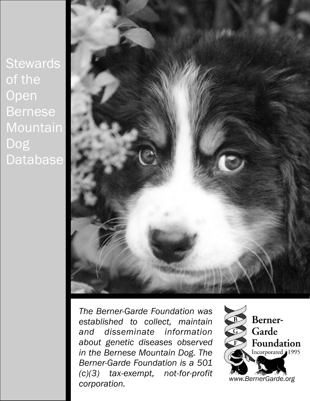**Stewards** of the **Open** Bernese Mountain Dog **Database** 



*The Berner-Garde Foundation was established to collect, maintain and disseminate information about genetic diseases observed in the Bernese Mountain Dog. The Berner-Garde Foundation is a 501 (c)(3) tax-exempt, not-for-profit corporation.* 

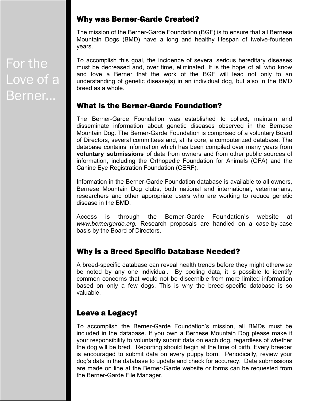#### Why was Berner-Garde Created?

The mission of the Berner-Garde Foundation (BGF) is to ensure that all Bernese Mountain Dogs (BMD) have a long and healthy lifespan of twelve-fourteen years.

To accomplish this goal, the incidence of several serious hereditary diseases must be decreased and, over time, eliminated. It is the hope of all who know and love a Berner that the work of the BGF will lead not only to an understanding of genetic disease(s) in an individual dog, but also in the BMD breed as a whole.

# What is the Berner-Garde Foundation?

The Berner-Garde Foundation was established to collect, maintain and disseminate information about genetic diseases observed in the Bernese Mountain Dog. The Berner-Garde Foundation is comprised of a voluntary Board of Directors, several committees and, at its core, a computerized database. The database contains information which has been compiled over many years from **voluntary submissions** of data from owners and from other public sources of information, including the Orthopedic Foundation for Animals (OFA) and the Canine Eye Registration Foundation (CERF).

Information in the Berner-Garde Foundation database is available to all owners, Bernese Mountain Dog clubs, both national and international, veterinarians, researchers and other appropriate users who are working to reduce genetic disease in the BMD.

Access is through the Berner-Garde Foundation's website at *www.bernergarde.org.* Research proposals are handled on a case-by-case basis by the Board of Directors.

# Why is a Breed Specific Database Needed?

A breed-specific database can reveal health trends before they might otherwise be noted by any one individual. By pooling data, it is possible to identify common concerns that would not be discernible from more limited information based on only a few dogs. This is why the breed-specific database is so valuable.

# Leave a Legacy!

To accomplish the Berner-Garde Foundation's mission, all BMDs must be included in the database. If you own a Bernese Mountain Dog please make it your responsibility to voluntarily submit data on each dog, regardless of whether the dog will be bred. Reporting should begin at the time of birth. Every breeder is encouraged to submit data on every puppy born. Periodically, review your dog's data in the database to update and check for accuracy. Data submissions are made on line at the Berner-Garde website or forms can be requested from the Berner-Garde File Manager.

For the Love of a Berner...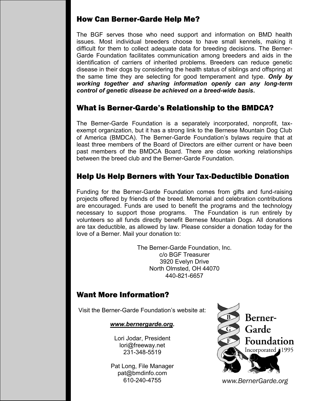#### How Can Berner-Garde Help Me?

The BGF serves those who need support and information on BMD health issues. Most individual breeders choose to have small kennels, making it difficult for them to collect adequate data for breeding decisions. The Berner-Garde Foundation facilitates communication among breeders and aids in the identification of carriers of inherited problems. Breeders can reduce genetic disease in their dogs by considering the health status of siblings and offspring at the same time they are selecting for good temperament and type. *Only by working together and sharing information openly can any long-term control of genetic disease be achieved on a breed-wide basis***.** 

#### What is Berner-Garde's Relationship to the BMDCA?

The Berner-Garde Foundation is a separately incorporated, nonprofit, taxexempt organization, but it has a strong link to the Bernese Mountain Dog Club of America (BMDCA). The Berner-Garde Foundation's bylaws require that at least three members of the Board of Directors are either current or have been past members of the BMDCA Board. There are close working relationships between the breed club and the Berner-Garde Foundation.

# Help Us Help Berners with Your Tax-Deductible Donation

Funding for the Berner-Garde Foundation comes from gifts and fund-raising projects offered by friends of the breed. Memorial and celebration contributions are encouraged. Funds are used to benefit the programs and the technology necessary to support those programs. The Foundation is run entirely by volunteers so all funds directly benefit Bernese Mountain Dogs. All donations are tax deductible, as allowed by law. Please consider a donation today for the love of a Berner. Mail your donation to:

> The Berner-Garde Foundation, Inc. c/o BGF Treasurer 3920 Evelyn Drive North Olmsted, OH 44070 440-821-6657

# Want More Information?

Visit the Berner-Garde Foundation's website at:

*www.bernergarde.org.*

Lori Jodar, President lori@freeway.net 231-348-5519

Pat Long, File Manager pat@bmdinfo.com 610-240-4755



*www.BernerGarde.org*